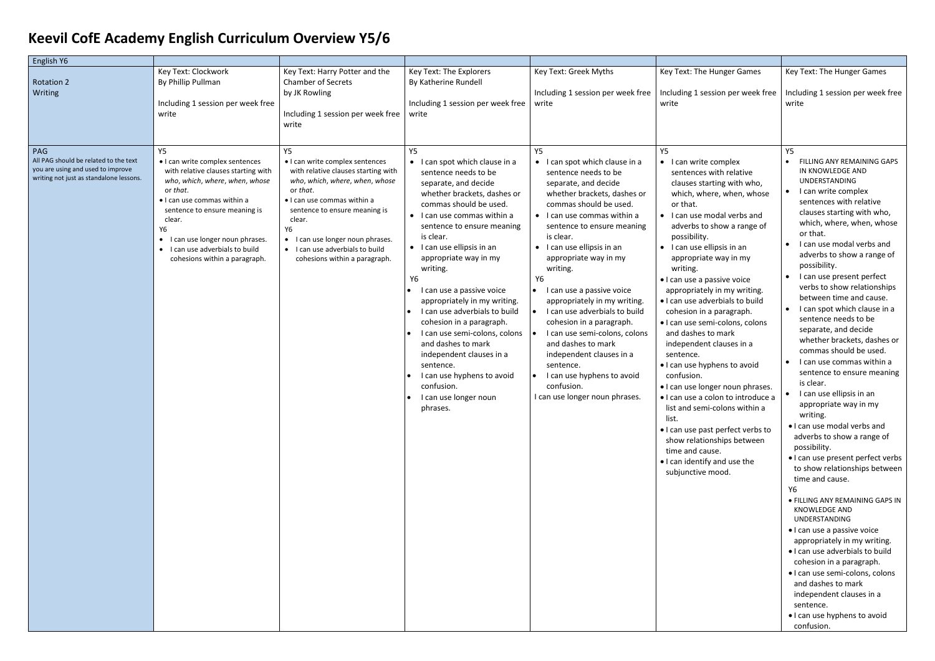## **Keevil CofE Academy English Curriculum Overview Y5/6**

| English Y6                                                                                                                   |                                                                                                                                                                                                                                                                                                                    |                                                                                                                                                                                                                                                                                                                    |                                                                                                                                                                                                                                                                                                                                                                                                                                                                                                                                                                                                             |                                                                                                                                                                                                                                                                                                                                                                                                                                                                                                                                                                                                                    |                                                                                                                                                                                                                                                                                                                                                                                                                                                                                                                                                                                                                                                                                                                                                                                                                            |                                                                                                                                                                                                                                                                                                                                                                                                                                                                                                                                                                                                                                                                                                                                                                                                                                                                                                                                                                                                                                                                                                                                                                                                                                 |
|------------------------------------------------------------------------------------------------------------------------------|--------------------------------------------------------------------------------------------------------------------------------------------------------------------------------------------------------------------------------------------------------------------------------------------------------------------|--------------------------------------------------------------------------------------------------------------------------------------------------------------------------------------------------------------------------------------------------------------------------------------------------------------------|-------------------------------------------------------------------------------------------------------------------------------------------------------------------------------------------------------------------------------------------------------------------------------------------------------------------------------------------------------------------------------------------------------------------------------------------------------------------------------------------------------------------------------------------------------------------------------------------------------------|--------------------------------------------------------------------------------------------------------------------------------------------------------------------------------------------------------------------------------------------------------------------------------------------------------------------------------------------------------------------------------------------------------------------------------------------------------------------------------------------------------------------------------------------------------------------------------------------------------------------|----------------------------------------------------------------------------------------------------------------------------------------------------------------------------------------------------------------------------------------------------------------------------------------------------------------------------------------------------------------------------------------------------------------------------------------------------------------------------------------------------------------------------------------------------------------------------------------------------------------------------------------------------------------------------------------------------------------------------------------------------------------------------------------------------------------------------|---------------------------------------------------------------------------------------------------------------------------------------------------------------------------------------------------------------------------------------------------------------------------------------------------------------------------------------------------------------------------------------------------------------------------------------------------------------------------------------------------------------------------------------------------------------------------------------------------------------------------------------------------------------------------------------------------------------------------------------------------------------------------------------------------------------------------------------------------------------------------------------------------------------------------------------------------------------------------------------------------------------------------------------------------------------------------------------------------------------------------------------------------------------------------------------------------------------------------------|
| <b>Rotation 2</b><br>Writing                                                                                                 | Key Text: Clockwork<br>By Phillip Pullman<br>Including 1 session per week free<br>write                                                                                                                                                                                                                            | Key Text: Harry Potter and the<br><b>Chamber of Secrets</b><br>by JK Rowling<br>Including 1 session per week free<br>write                                                                                                                                                                                         | Key Text: The Explorers<br>By Katherine Rundell<br>Including 1 session per week free<br>write                                                                                                                                                                                                                                                                                                                                                                                                                                                                                                               | Key Text: Greek Myths<br>Including 1 session per week free<br>write                                                                                                                                                                                                                                                                                                                                                                                                                                                                                                                                                | Key Text: The Hunger Games<br>Including 1 session per week free<br>write                                                                                                                                                                                                                                                                                                                                                                                                                                                                                                                                                                                                                                                                                                                                                   | Key Text: The Hunger Games<br>Including 1 session per week free<br>write                                                                                                                                                                                                                                                                                                                                                                                                                                                                                                                                                                                                                                                                                                                                                                                                                                                                                                                                                                                                                                                                                                                                                        |
| PAG<br>All PAG should be related to the text<br>you are using and used to improve<br>writing not just as standalone lessons. | Y5<br>• I can write complex sentences<br>with relative clauses starting with<br>who, which, where, when, whose<br>or that.<br>· I can use commas within a<br>sentence to ensure meaning is<br>clear.<br>Y6<br>• I can use longer noun phrases.<br>• I can use adverbials to build<br>cohesions within a paragraph. | Υ5<br>• I can write complex sentences<br>with relative clauses starting with<br>who, which, where, when, whose<br>or that.<br>· I can use commas within a<br>sentence to ensure meaning is<br>clear.<br>Y6<br>• I can use longer noun phrases.<br>• I can use adverbials to build<br>cohesions within a paragraph. | Y5<br>• I can spot which clause in a<br>sentence needs to be<br>separate, and decide<br>whether brackets, dashes or<br>commas should be used.<br>• I can use commas within a<br>sentence to ensure meaning<br>is clear.<br>• I can use ellipsis in an<br>appropriate way in my<br>writing.<br>Υ6<br>I can use a passive voice<br>appropriately in my writing.<br>I can use adverbials to build<br>cohesion in a paragraph.<br>I can use semi-colons, colons<br>and dashes to mark<br>independent clauses in a<br>sentence.<br>I can use hyphens to avoid<br>confusion.<br>I can use longer noun<br>phrases. | Y5<br>• I can spot which clause in a<br>sentence needs to be<br>separate, and decide<br>whether brackets, dashes or<br>commas should be used.<br>• I can use commas within a<br>sentence to ensure meaning<br>is clear.<br>$\bullet$ I can use ellipsis in an<br>appropriate way in my<br>writing.<br>Υ6<br>• I can use a passive voice<br>appropriately in my writing.<br>I can use adverbials to build<br>cohesion in a paragraph.<br>I can use semi-colons, colons<br>and dashes to mark<br>independent clauses in a<br>sentence.<br>I can use hyphens to avoid<br>confusion.<br>I can use longer noun phrases. | Y5<br>• I can write complex<br>sentences with relative<br>clauses starting with who,<br>which, where, when, whose<br>or that.<br>• I can use modal verbs and<br>adverbs to show a range of<br>possibility.<br>• I can use ellipsis in an<br>appropriate way in my<br>writing.<br>· I can use a passive voice<br>appropriately in my writing.<br>. I can use adverbials to build<br>cohesion in a paragraph.<br>· I can use semi-colons, colons<br>and dashes to mark<br>independent clauses in a<br>sentence.<br>. I can use hyphens to avoid<br>confusion.<br>• I can use longer noun phrases.<br>· I can use a colon to introduce a<br>list and semi-colons within a<br>list.<br>. I can use past perfect verbs to<br>show relationships between<br>time and cause.<br>. I can identify and use the<br>subjunctive mood. | Y5<br>FILLING ANY REMAINING GAPS<br>IN KNOWLEDGE AND<br><b>UNDERSTANDING</b><br>I can write complex<br>$\bullet$<br>sentences with relative<br>clauses starting with who,<br>which, where, when, whose<br>or that.<br>I can use modal verbs and<br>adverbs to show a range of<br>possibility.<br>I can use present perfect<br>$\bullet$<br>verbs to show relationships<br>between time and cause.<br>I can spot which clause in a<br>sentence needs to be<br>separate, and decide<br>whether brackets, dashes or<br>commas should be used.<br>I can use commas within a<br>$\bullet$<br>sentence to ensure meaning<br>is clear.<br>I can use ellipsis in an<br>appropriate way in my<br>writing.<br>. I can use modal verbs and<br>adverbs to show a range of<br>possibility.<br>. I can use present perfect verbs<br>to show relationships between<br>time and cause.<br>Y6<br>· FILLING ANY REMAINING GAPS IN<br>KNOWLEDGE AND<br>UNDERSTANDING<br>• I can use a passive voice<br>appropriately in my writing.<br>. I can use adverbials to build<br>cohesion in a paragraph.<br>· I can use semi-colons, colons<br>and dashes to mark<br>independent clauses in a<br>sentence.<br>• I can use hyphens to avoid<br>confusion. |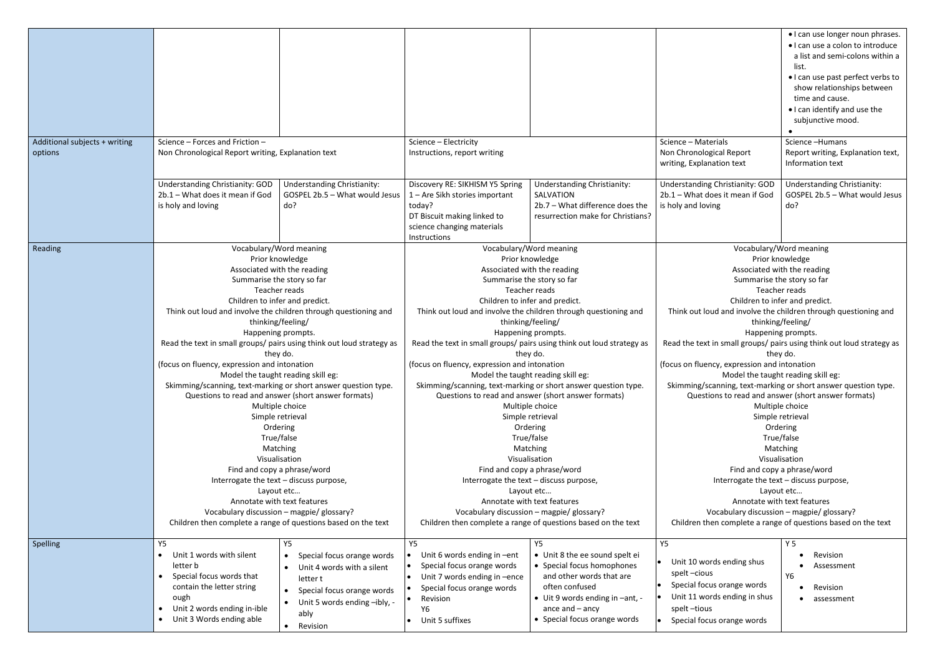|                                          |                                                                                                                                                                                                                                                                                                                                                                                                                                                                                                                                                                                                                                                                                                                                                                                                                                                                                                                 |                                                                                                                                                                           |                                                                                                                                                                                                                                                                                                                                                                                                                                                                                                                                                                                                                                                                                                                                                                                                                                                                                                                 |                                                                                                                                                                                                                 |                                                                                                                                                                                                                                                                                                                                                                                                                                                                                                                                                                                                                                                                                                                                                                                                                                                                                                                 | • I can use longer noun phrases.<br>• I can use a colon to introduce<br>a list and semi-colons within a<br>list.<br>• I can use past perfect verbs to<br>show relationships between<br>time and cause.<br>• I can identify and use the<br>subjunctive mood. |
|------------------------------------------|-----------------------------------------------------------------------------------------------------------------------------------------------------------------------------------------------------------------------------------------------------------------------------------------------------------------------------------------------------------------------------------------------------------------------------------------------------------------------------------------------------------------------------------------------------------------------------------------------------------------------------------------------------------------------------------------------------------------------------------------------------------------------------------------------------------------------------------------------------------------------------------------------------------------|---------------------------------------------------------------------------------------------------------------------------------------------------------------------------|-----------------------------------------------------------------------------------------------------------------------------------------------------------------------------------------------------------------------------------------------------------------------------------------------------------------------------------------------------------------------------------------------------------------------------------------------------------------------------------------------------------------------------------------------------------------------------------------------------------------------------------------------------------------------------------------------------------------------------------------------------------------------------------------------------------------------------------------------------------------------------------------------------------------|-----------------------------------------------------------------------------------------------------------------------------------------------------------------------------------------------------------------|-----------------------------------------------------------------------------------------------------------------------------------------------------------------------------------------------------------------------------------------------------------------------------------------------------------------------------------------------------------------------------------------------------------------------------------------------------------------------------------------------------------------------------------------------------------------------------------------------------------------------------------------------------------------------------------------------------------------------------------------------------------------------------------------------------------------------------------------------------------------------------------------------------------------|-------------------------------------------------------------------------------------------------------------------------------------------------------------------------------------------------------------------------------------------------------------|
| Additional subjects + writing<br>options | Science - Forces and Friction -<br>Non Chronological Report writing, Explanation text                                                                                                                                                                                                                                                                                                                                                                                                                                                                                                                                                                                                                                                                                                                                                                                                                           |                                                                                                                                                                           | Science - Electricity<br>Instructions, report writing                                                                                                                                                                                                                                                                                                                                                                                                                                                                                                                                                                                                                                                                                                                                                                                                                                                           |                                                                                                                                                                                                                 | Science - Materials<br>Non Chronological Report<br>writing, Explanation text                                                                                                                                                                                                                                                                                                                                                                                                                                                                                                                                                                                                                                                                                                                                                                                                                                    | Science-Humans<br>Report writing, Explanation text,<br>Information text                                                                                                                                                                                     |
|                                          | Understanding Christianity: GOD<br>2b.1 - What does it mean if God<br>is holy and loving                                                                                                                                                                                                                                                                                                                                                                                                                                                                                                                                                                                                                                                                                                                                                                                                                        | <b>Understanding Christianity:</b><br>GOSPEL 2b.5 - What would Jesus<br>do?                                                                                               | Discovery RE: SIKHISM Y5 Spring<br>1 - Are Sikh stories important<br>today?<br>DT Biscuit making linked to<br>science changing materials<br>Instructions                                                                                                                                                                                                                                                                                                                                                                                                                                                                                                                                                                                                                                                                                                                                                        | <b>Understanding Christianity:</b><br>SALVATION<br>2b.7 - What difference does the<br>resurrection make for Christians?                                                                                         | Understanding Christianity: GOD<br>2b.1 - What does it mean if God<br>is holy and loving                                                                                                                                                                                                                                                                                                                                                                                                                                                                                                                                                                                                                                                                                                                                                                                                                        | <b>Understanding Christianity:</b><br>GOSPEL 2b.5 - What would Jesus<br>do?                                                                                                                                                                                 |
| Reading                                  | Vocabulary/Word meaning<br>Prior knowledge<br>Associated with the reading<br>Summarise the story so far<br>Teacher reads<br>Children to infer and predict.<br>Think out loud and involve the children through questioning and<br>thinking/feeling/<br>Happening prompts.<br>Read the text in small groups/ pairs using think out loud strategy as<br>they do.<br>(focus on fluency, expression and intonation<br>Model the taught reading skill eg:<br>Skimming/scanning, text-marking or short answer question type.<br>Questions to read and answer (short answer formats)<br>Multiple choice<br>Simple retrieval<br>Ordering<br>True/false<br>Matching<br>Visualisation<br>Find and copy a phrase/word<br>Interrogate the text - discuss purpose,<br>Layout etc<br>Annotate with text features<br>Vocabulary discussion - magpie/ glossary?<br>Children then complete a range of questions based on the text |                                                                                                                                                                           | Vocabulary/Word meaning<br>Prior knowledge<br>Associated with the reading<br>Summarise the story so far<br>Teacher reads<br>Children to infer and predict.<br>Think out loud and involve the children through questioning and<br>thinking/feeling/<br>Happening prompts.<br>Read the text in small groups/ pairs using think out loud strategy as<br>they do.<br>(focus on fluency, expression and intonation<br>Model the taught reading skill eg:<br>Skimming/scanning, text-marking or short answer question type.<br>Questions to read and answer (short answer formats)<br>Multiple choice<br>Simple retrieval<br>Ordering<br>True/false<br>Matching<br>Visualisation<br>Find and copy a phrase/word<br>Interrogate the text - discuss purpose,<br>Layout etc<br>Annotate with text features<br>Vocabulary discussion - magpie/ glossary?<br>Children then complete a range of questions based on the text |                                                                                                                                                                                                                 | Vocabulary/Word meaning<br>Prior knowledge<br>Associated with the reading<br>Summarise the story so far<br>Teacher reads<br>Children to infer and predict.<br>Think out loud and involve the children through questioning and<br>thinking/feeling/<br>Happening prompts.<br>Read the text in small groups/ pairs using think out loud strategy as<br>they do.<br>(focus on fluency, expression and intonation<br>Model the taught reading skill eg:<br>Skimming/scanning, text-marking or short answer question type.<br>Questions to read and answer (short answer formats)<br>Multiple choice<br>Simple retrieval<br>Ordering<br>True/false<br>Matching<br>Visualisation<br>Find and copy a phrase/word<br>Interrogate the text - discuss purpose,<br>Layout etc<br>Annotate with text features<br>Vocabulary discussion - magpie/ glossary?<br>Children then complete a range of questions based on the text |                                                                                                                                                                                                                                                             |
| Spelling                                 | Y5<br>Unit 1 words with silent<br>letter b<br>Special focus words that<br>contain the letter string<br>ough<br>Unit 2 words ending in-ible<br>Unit 3 Words ending able<br>$\bullet$                                                                                                                                                                                                                                                                                                                                                                                                                                                                                                                                                                                                                                                                                                                             | Y5<br>Special focus orange words<br>Unit 4 words with a silent<br>letter t<br>Special focus orange words<br>Unit 5 words ending -ibly, -<br>$\bullet$<br>ably<br>Revision | <b>Y5</b><br>Unit 6 words ending in -ent<br>Special focus orange words<br>Unit 7 words ending in -ence<br>$\bullet$<br>Special focus orange words<br>Revision<br>Y6<br>Unit 5 suffixes<br>$\bullet$                                                                                                                                                                                                                                                                                                                                                                                                                                                                                                                                                                                                                                                                                                             | <b>Y5</b><br>• Unit 8 the ee sound spelt ei<br>• Special focus homophones<br>and other words that are<br>often confused<br>• Uit 9 words ending in -ant, -<br>ance and $-$ ancy<br>• Special focus orange words | Y5<br>Unit 10 words ending shus<br>spelt-cious<br>Special focus orange words<br>Unit 11 words ending in shus<br>spelt-tious<br>Special focus orange words                                                                                                                                                                                                                                                                                                                                                                                                                                                                                                                                                                                                                                                                                                                                                       | <b>Y5</b><br>Revision<br>Assessment<br><b>Y6</b><br>Revision<br>assessment                                                                                                                                                                                  |